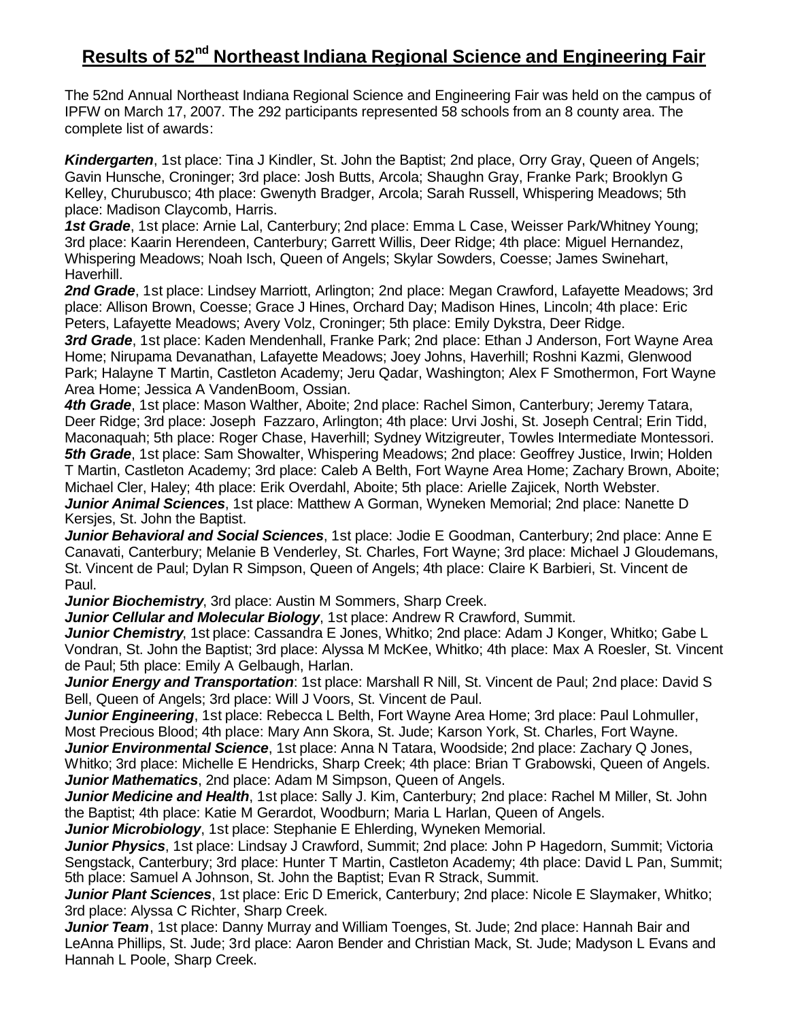## **Results of 52<sup>nd</sup> Northeast Indiana Regional Science and Engineering Fair**

The 52nd Annual Northeast Indiana Regional Science and Engineering Fair was held on the campus of IPFW on March 17, 2007. The 292 participants represented 58 schools from an 8 county area. The complete list of awards:

*Kindergarten*, 1st place: Tina J Kindler, St. John the Baptist; 2nd place, Orry Gray, Queen of Angels; Gavin Hunsche, Croninger; 3rd place: Josh Butts, Arcola; Shaughn Gray, Franke Park; Brooklyn G Kelley, Churubusco; 4th place: Gwenyth Bradger, Arcola; Sarah Russell, Whispering Meadows; 5th place: Madison Claycomb, Harris.

*1st Grade*, 1st place: Arnie Lal, Canterbury; 2nd place: Emma L Case, Weisser Park/Whitney Young; 3rd place: Kaarin Herendeen, Canterbury; Garrett Willis, Deer Ridge; 4th place: Miguel Hernandez, Whispering Meadows; Noah Isch, Queen of Angels; Skylar Sowders, Coesse; James Swinehart, Haverhill.

*2nd Grade*, 1st place: Lindsey Marriott, Arlington; 2nd place: Megan Crawford, Lafayette Meadows; 3rd place: Allison Brown, Coesse; Grace J Hines, Orchard Day; Madison Hines, Lincoln; 4th place: Eric Peters, Lafayette Meadows; Avery Volz, Croninger; 5th place: Emily Dykstra, Deer Ridge.

*3rd Grade*, 1st place: Kaden Mendenhall, Franke Park; 2nd place: Ethan J Anderson, Fort Wayne Area Home; Nirupama Devanathan, Lafayette Meadows; Joey Johns, Haverhill; Roshni Kazmi, Glenwood Park; Halayne T Martin, Castleton Academy; Jeru Qadar, Washington; Alex F Smothermon, Fort Wayne Area Home; Jessica A VandenBoom, Ossian.

*4th Grade*, 1st place: Mason Walther, Aboite; 2nd place: Rachel Simon, Canterbury; Jeremy Tatara, Deer Ridge; 3rd place: Joseph Fazzaro, Arlington; 4th place: Urvi Joshi, St. Joseph Central; Erin Tidd, Maconaquah; 5th place: Roger Chase, Haverhill; Sydney Witzigreuter, Towles Intermediate Montessori. *5th Grade*, 1st place: Sam Showalter, Whispering Meadows; 2nd place: Geoffrey Justice, Irwin; Holden T Martin, Castleton Academy; 3rd place: Caleb A Belth, Fort Wayne Area Home; Zachary Brown, Aboite; Michael Cler, Haley; 4th place: Erik Overdahl, Aboite; 5th place: Arielle Zajicek, North Webster. *Junior Animal Sciences*, 1st place: Matthew A Gorman, Wyneken Memorial; 2nd place: Nanette D

Kersjes, St. John the Baptist.

*Junior Behavioral and Social Sciences*, 1st place: Jodie E Goodman, Canterbury; 2nd place: Anne E Canavati, Canterbury; Melanie B Venderley, St. Charles, Fort Wayne; 3rd place: Michael J Gloudemans, St. Vincent de Paul; Dylan R Simpson, Queen of Angels; 4th place: Claire K Barbieri, St. Vincent de Paul.

*Junior Biochemistry*, 3rd place: Austin M Sommers, Sharp Creek.

*Junior Cellular and Molecular Biology*, 1st place: Andrew R Crawford, Summit.

*Junior Chemistry*, 1st place: Cassandra E Jones, Whitko; 2nd place: Adam J Konger, Whitko; Gabe L Vondran, St. John the Baptist; 3rd place: Alyssa M McKee, Whitko; 4th place: Max A Roesler, St. Vincent de Paul; 5th place: Emily A Gelbaugh, Harlan.

*Junior Energy and Transportation*: 1st place: Marshall R Nill, St. Vincent de Paul; 2nd place: David S Bell, Queen of Angels; 3rd place: Will J Voors, St. Vincent de Paul.

*Junior Engineering*, 1st place: Rebecca L Belth, Fort Wayne Area Home; 3rd place: Paul Lohmuller, Most Precious Blood; 4th place: Mary Ann Skora, St. Jude; Karson York, St. Charles, Fort Wayne.

*Junior Environmental Science*, 1st place: Anna N Tatara, Woodside; 2nd place: Zachary Q Jones, Whitko; 3rd place: Michelle E Hendricks, Sharp Creek; 4th place: Brian T Grabowski, Queen of Angels. *Junior Mathematics*, 2nd place: Adam M Simpson, Queen of Angels.

*Junior Medicine and Health*, 1st place: Sally J. Kim, Canterbury; 2nd place: Rachel M Miller, St. John the Baptist; 4th place: Katie M Gerardot, Woodburn; Maria L Harlan, Queen of Angels.

*Junior Microbiology*, 1st place: Stephanie E Ehlerding, Wyneken Memorial.

*Junior Physics*, 1st place: Lindsay J Crawford, Summit; 2nd place: John P Hagedorn, Summit; Victoria Sengstack, Canterbury; 3rd place: Hunter T Martin, Castleton Academy; 4th place: David L Pan, Summit; 5th place: Samuel A Johnson, St. John the Baptist; Evan R Strack, Summit.

*Junior Plant Sciences*, 1st place: Eric D Emerick, Canterbury; 2nd place: Nicole E Slaymaker, Whitko; 3rd place: Alyssa C Richter, Sharp Creek.

*Junior Team*, 1st place: Danny Murray and William Toenges, St. Jude; 2nd place: Hannah Bair and LeAnna Phillips, St. Jude; 3rd place: Aaron Bender and Christian Mack, St. Jude; Madyson L Evans and Hannah L Poole, Sharp Creek.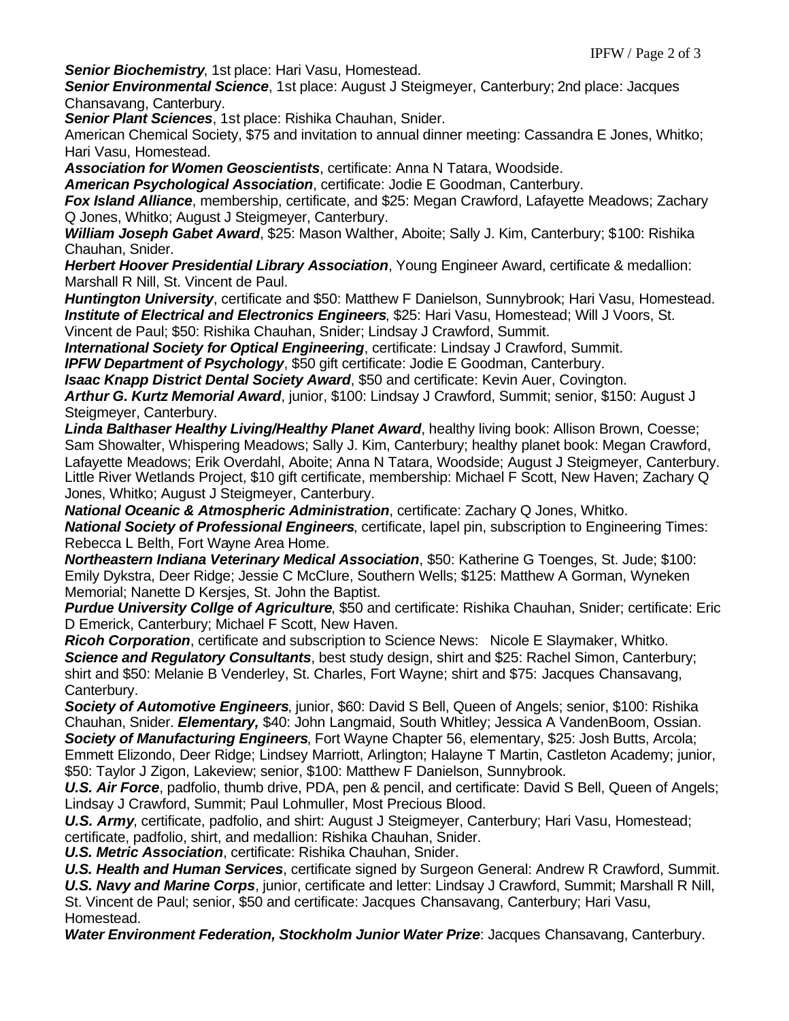*Senior Biochemistry*, 1st place: Hari Vasu, Homestead.

*Senior Environmental Science*, 1st place: August J Steigmeyer, Canterbury; 2nd place: Jacques Chansavang, Canterbury.

*Senior Plant Sciences*, 1st place: Rishika Chauhan, Snider.

American Chemical Society, \$75 and invitation to annual dinner meeting: Cassandra E Jones, Whitko; Hari Vasu, Homestead.

*Association for Women Geoscientists*, certificate: Anna N Tatara, Woodside.

*American Psychological Association*, certificate: Jodie E Goodman, Canterbury.

*Fox Island Alliance*, membership, certificate, and \$25: Megan Crawford, Lafayette Meadows; Zachary Q Jones, Whitko; August J Steigmeyer, Canterbury.

*William Joseph Gabet Award*, \$25: Mason Walther, Aboite; Sally J. Kim, Canterbury; \$100: Rishika Chauhan, Snider.

*Herbert Hoover Presidential Library Association*, Young Engineer Award, certificate & medallion: Marshall R Nill, St. Vincent de Paul.

*Huntington University*, certificate and \$50: Matthew F Danielson, Sunnybrook; Hari Vasu, Homestead. *Institute of Electrical and Electronics Engineers*, \$25: Hari Vasu, Homestead; Will J Voors, St.

Vincent de Paul; \$50: Rishika Chauhan, Snider; Lindsay J Crawford, Summit.

*International Society for Optical Engineering*, certificate: Lindsay J Crawford, Summit.

*IPFW Department of Psychology*, \$50 gift certificate: Jodie E Goodman, Canterbury.

*Isaac Knapp District Dental Society Award*, \$50 and certificate: Kevin Auer, Covington.

*Arthur G. Kurtz Memorial Award*, junior, \$100: Lindsay J Crawford, Summit; senior, \$150: August J Steigmeyer, Canterbury.

*Linda Balthaser Healthy Living/Healthy Planet Award*, healthy living book: Allison Brown, Coesse; Sam Showalter, Whispering Meadows; Sally J. Kim, Canterbury; healthy planet book: Megan Crawford, Lafayette Meadows; Erik Overdahl, Aboite; Anna N Tatara, Woodside; August J Steigmeyer, Canterbury. Little River Wetlands Project, \$10 gift certificate, membership: Michael F Scott, New Haven; Zachary Q Jones, Whitko; August J Steigmeyer, Canterbury.

*National Oceanic & Atmospheric Administration*, certificate: Zachary Q Jones, Whitko. *National Society of Professional Engineers*, certificate, lapel pin, subscription to Engineering Times: Rebecca L Belth, Fort Wayne Area Home.

*Northeastern Indiana Veterinary Medical Association*, \$50: Katherine G Toenges, St. Jude; \$100: Emily Dykstra, Deer Ridge; Jessie C McClure, Southern Wells; \$125: Matthew A Gorman, Wyneken Memorial; Nanette D Kersjes, St. John the Baptist.

*Purdue University Collge of Agriculture*, \$50 and certificate: Rishika Chauhan, Snider; certificate: Eric D Emerick, Canterbury; Michael F Scott, New Haven.

*Ricoh Corporation*, certificate and subscription to Science News: Nicole E Slaymaker, Whitko. *Science and Regulatory Consultants*, best study design, shirt and \$25: Rachel Simon, Canterbury; shirt and \$50: Melanie B Venderley, St. Charles, Fort Wayne; shirt and \$75: Jacques Chansavang, Canterbury.

*Society of Automotive Engineers*, junior, \$60: David S Bell, Queen of Angels; senior, \$100: Rishika Chauhan, Snider. *Elementary,* \$40: John Langmaid, South Whitley; Jessica A VandenBoom, Ossian. *Society of Manufacturing Engineers*, Fort Wayne Chapter 56, elementary, \$25: Josh Butts, Arcola; Emmett Elizondo, Deer Ridge; Lindsey Marriott, Arlington; Halayne T Martin, Castleton Academy; junior,

\$50: Taylor J Zigon, Lakeview; senior, \$100: Matthew F Danielson, Sunnybrook. *U.S. Air Force*, padfolio, thumb drive, PDA, pen & pencil, and certificate: David S Bell, Queen of Angels;

Lindsay J Crawford, Summit; Paul Lohmuller, Most Precious Blood.

*U.S. Army*, certificate, padfolio, and shirt: August J Steigmeyer, Canterbury; Hari Vasu, Homestead; certificate, padfolio, shirt, and medallion: Rishika Chauhan, Snider.

*U.S. Metric Association*, certificate: Rishika Chauhan, Snider.

*U.S. Health and Human Services*, certificate signed by Surgeon General: Andrew R Crawford, Summit. *U.S. Navy and Marine Corps*, junior, certificate and letter: Lindsay J Crawford, Summit; Marshall R Nill,

St. Vincent de Paul; senior, \$50 and certificate: Jacques Chansavang, Canterbury; Hari Vasu, Homestead.

*Water Environment Federation, Stockholm Junior Water Prize*: Jacques Chansavang, Canterbury.